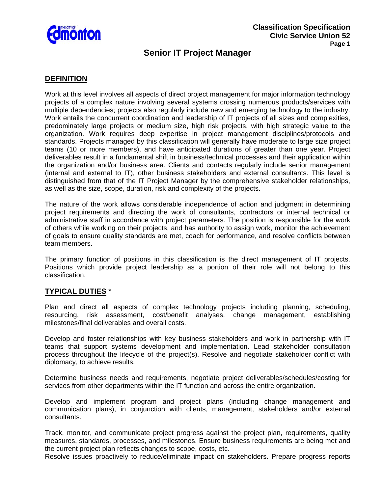

# **Senior IT Project Manager**

# **DEFINITION**

Work at this level involves all aspects of direct project management for major information technology projects of a complex nature involving several systems crossing numerous products/services with multiple dependencies; projects also regularly include new and emerging technology to the industry. Work entails the concurrent coordination and leadership of IT projects of all sizes and complexities, predominately large projects or medium size, high risk projects, with high strategic value to the organization. Work requires deep expertise in project management disciplines/protocols and standards. Projects managed by this classification will generally have moderate to large size project teams (10 or more members), and have anticipated durations of greater than one year. Project deliverables result in a fundamental shift in business/technical processes and their application within the organization and/or business area. Clients and contacts regularly include senior management (internal and external to IT), other business stakeholders and external consultants. This level is distinguished from that of the IT Project Manager by the comprehensive stakeholder relationships, as well as the size, scope, duration, risk and complexity of the projects.

The nature of the work allows considerable independence of action and judgment in determining project requirements and directing the work of consultants, contractors or internal technical or administrative staff in accordance with project parameters. The position is responsible for the work of others while working on their projects, and has authority to assign work, monitor the achievement of goals to ensure quality standards are met, coach for performance, and resolve conflicts between team members.

The primary function of positions in this classification is the direct management of IT projects. Positions which provide project leadership as a portion of their role will not belong to this classification.

# **TYPICAL DUTIES** \*

Plan and direct all aspects of complex technology projects including planning, scheduling, resourcing, risk assessment, cost/benefit analyses, change management, establishing milestones/final deliverables and overall costs.

Develop and foster relationships with key business stakeholders and work in partnership with IT teams that support systems development and implementation. Lead stakeholder consultation process throughout the lifecycle of the project(s). Resolve and negotiate stakeholder conflict with diplomacy, to achieve results.

Determine business needs and requirements, negotiate project deliverables/schedules/costing for services from other departments within the IT function and across the entire organization.

Develop and implement program and project plans (including change management and communication plans), in conjunction with clients, management, stakeholders and/or external consultants.

Track, monitor, and communicate project progress against the project plan, requirements, quality measures, standards, processes, and milestones. Ensure business requirements are being met and the current project plan reflects changes to scope, costs, etc.

Resolve issues proactively to reduce/eliminate impact on stakeholders. Prepare progress reports